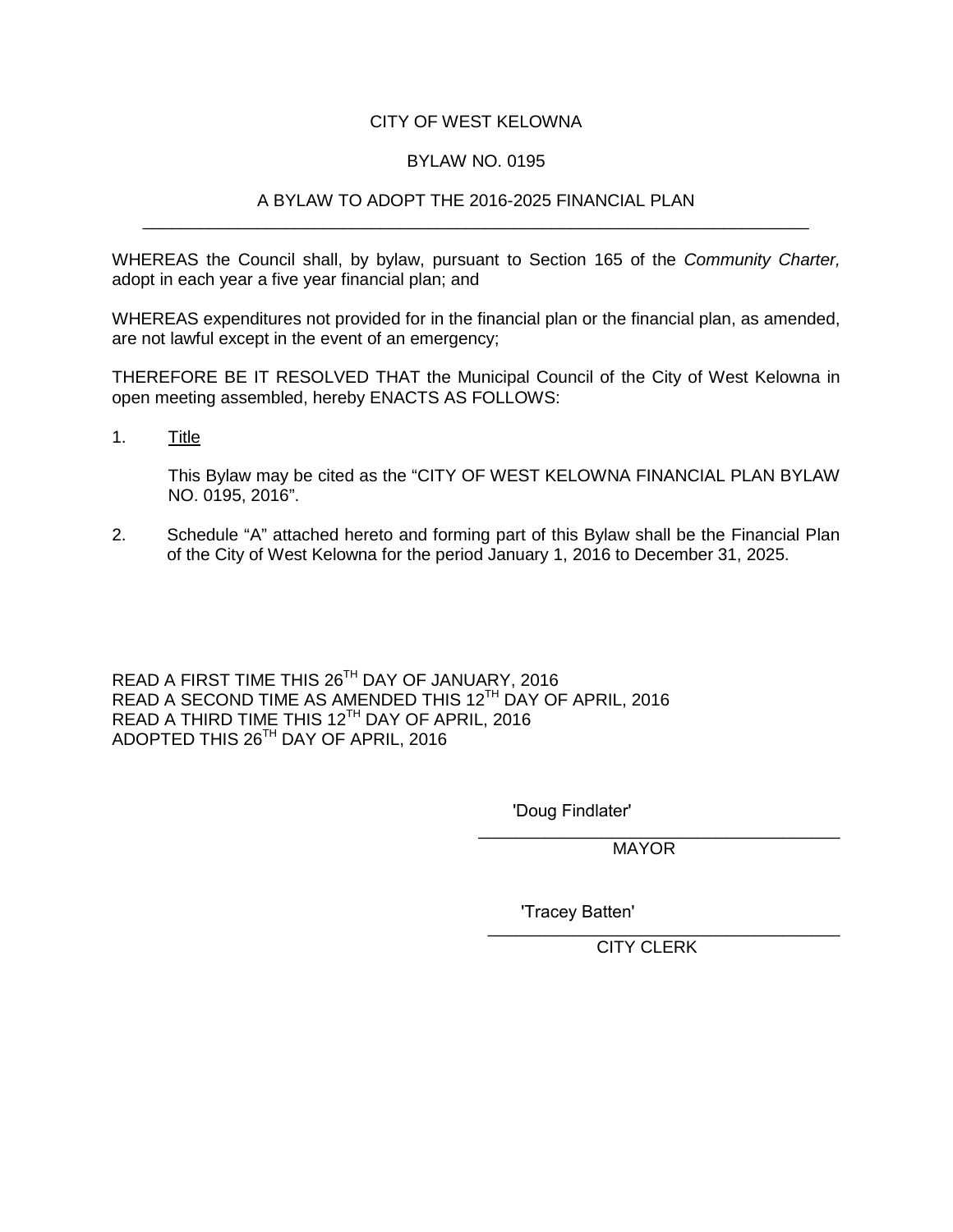#### CITY OF WEST KELOWNA

#### BYLAW NO. 0195

#### A BYLAW TO ADOPT THE 2016-2025 FINANCIAL PLAN \_\_\_\_\_\_\_\_\_\_\_\_\_\_\_\_\_\_\_\_\_\_\_\_\_\_\_\_\_\_\_\_\_\_\_\_\_\_\_\_\_\_\_\_\_\_\_\_\_\_\_\_\_\_\_\_\_\_\_\_\_\_\_\_\_\_\_\_\_\_

WHEREAS the Council shall, by bylaw, pursuant to Section 165 of the *Community Charter,*  adopt in each year a five year financial plan; and

WHEREAS expenditures not provided for in the financial plan or the financial plan, as amended, are not lawful except in the event of an emergency;

THEREFORE BE IT RESOLVED THAT the Municipal Council of the City of West Kelowna in open meeting assembled, hereby ENACTS AS FOLLOWS:

1. Title

This Bylaw may be cited as the "CITY OF WEST KELOWNA FINANCIAL PLAN BYLAW NO. 0195, 2016".

2. Schedule "A" attached hereto and forming part of this Bylaw shall be the Financial Plan of the City of West Kelowna for the period January 1, 2016 to December 31, 2025.

READ A FIRST TIME THIS 26TH DAY OF JANUARY, 2016 READ A SECOND TIME AS AMENDED THIS 12<sup>TH</sup> DAY OF APRIL, 2016 READ A THIRD TIME THIS 12<sup>TH</sup> DAY OF APRIL, 2016 ADOPTED THIS 26TH DAY OF APRIL, 2016

'Doug Findlater'

\_\_\_\_\_\_\_\_\_\_\_\_\_\_\_\_\_\_\_\_\_\_\_\_\_\_\_\_\_\_\_\_\_\_\_\_\_\_ MAYOR

'Tracey Batten'

\_\_\_\_\_\_\_\_\_\_\_\_\_\_\_\_\_\_\_\_\_\_\_\_\_\_\_\_\_\_\_\_\_\_\_\_\_ CITY CLERK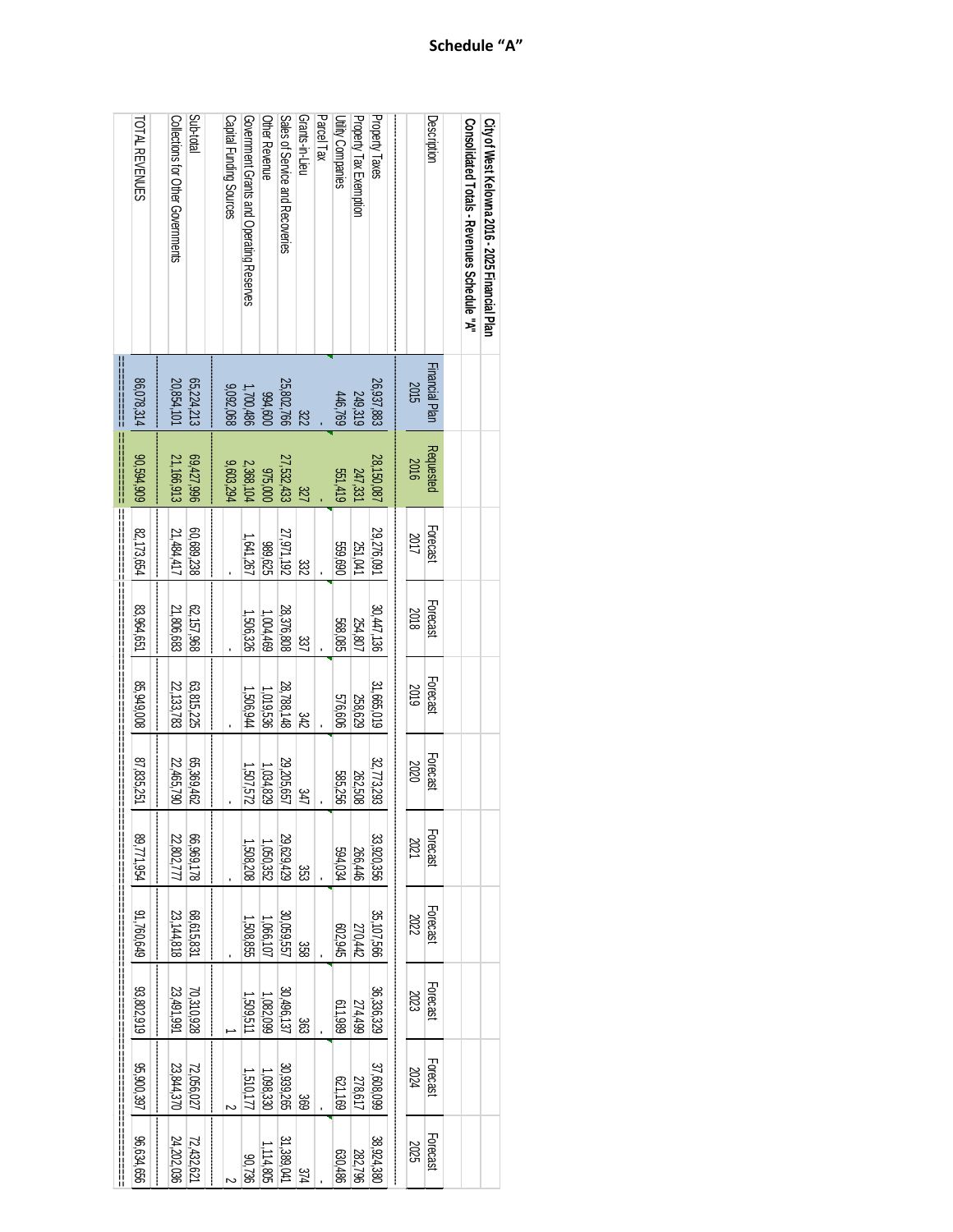| City of West Kelowna 2016 - 2025 Tinancial Plan               |                |                        |              |                |            |            |                 |                 |            |            |
|---------------------------------------------------------------|----------------|------------------------|--------------|----------------|------------|------------|-----------------|-----------------|------------|------------|
|                                                               |                |                        |              |                |            |            |                 |                 |            |            |
| Consolidated Totals - Revenues Schedule "A"                   |                |                        |              |                |            |            |                 |                 |            |            |
|                                                               |                |                        |              |                |            |            |                 |                 |            |            |
| Description<br>Financial Plan<br>Requested                    |                | Forecast               | Forecast     | Forecast       | Forecast   | Forecast   | <b>Forecast</b> | <b>Forecast</b> | Forecast   | Forecast   |
| 2015<br>2016                                                  |                | 2017                   | 2018         | 2019           | 2020       | 2021       | 2022            | 2023            | 2024       | 2025       |
|                                                               |                |                        |              |                |            |            |                 |                 |            |            |
| Property Taxes<br>26,937,883<br>28,150,087                    |                | 29,276,091             | 30,447,136   | 31,665,019     | 32,773,293 | 33,920,356 | 35,107,566      | 36,336,329      | 37,608,099 | 38,924,380 |
| <b>Property Tax Exemption</b><br>249,319                      | 247,331        | 251,041                | 254,807      | 258,629        | 262,508    | 266,446    | 270,442         | 274,499         | 278,617    | 282,796    |
| <b>Utility Companies</b><br>446,769                           | 551,419        | 559,690                | 568,085      | <b>576,606</b> | 585,256    | 594,034    | 602,945         | 611,989         | 621,169    | 630,486    |
| Parcel Tax                                                    |                |                        |              |                |            |            |                 |                 |            |            |
| Grants-in-Lieu<br>322                                         | 327            | ಜ್ಞ                    | 337          | 342            | 347        | ಜ್ಞ        | 338             | 363             | 369        | 374        |
| Sales of Service and Recoveries<br>25,802,766<br>27,532,433   |                | 27,971,192             | 28,376,808   | 28,788,148     | 29,205,657 | 29,629,429 | 30,059,557      | 30,496,137      | 30,939,265 | 31,389,041 |
| Other Revenue<br>094,600                                      | <b>975,000</b> | 389,625                | 1,004,469    | 1,019,536      | 1,034,829  | 1,050,352  | 1,066,107       | 1,082,099       | 1,098,330  | 1,114,805  |
| Government Grants and Operating Reserves<br>1,700,486         | 2,368,104      | 1,641,267              | 1,506,326    | 1,506,944      | 725'105'1  | 1,508,208  | 1,508,855       | 1,509,511       | 1,510,177  | 90,736     |
| Capital Funding Sources<br>9,092,068                          | 9,603,294      |                        |              |                |            |            |                 |                 |            |            |
|                                                               |                |                        |              |                |            |            |                 |                 |            |            |
| Sub-total<br>65,224,213<br>69,427,996                         |                | 60,689,238             | 62, 157, 968 | 63,815,225     | G5,369,462 | 66,969,178 | 68,615,831      | 70,310,928      | 72,056,027 | 72,432,621 |
| Collections for Other Governments<br>20,854,101<br>21,166,913 |                | 21,484,417             | 21,806,683   | 22,133,783     | 22,465,790 | 22,802,77  | 23, 144, 818    | 23,491,991      | 23,844,370 | 24,202,036 |
| TOTAL REVENUES<br>86,078,314<br>80,594,909                    |                | 82,173,654             | 83,964,651   | 85,949,008     | 87,835,251 | 89,771,954 | 91,760,649      | 93,802,919      | 35,900,397 | 96,634,656 |
| <br> <br> <br> <br> <br> <br>                                 |                | <br>  <br>  <br>  <br> | ╟            |                |            |            |                 |                 |            |            |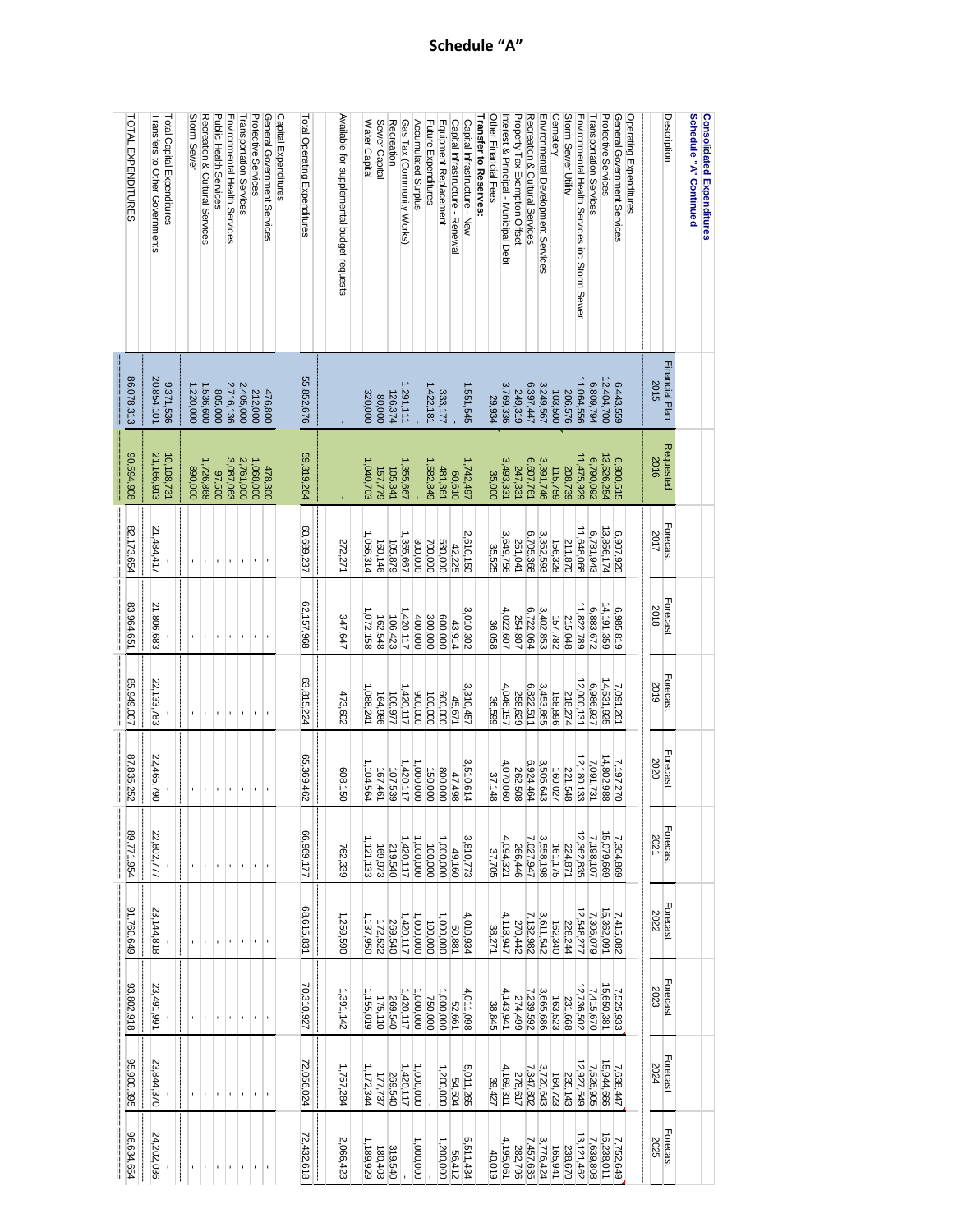| TOTAL EXPENDITURES                 | Transfers to Other Governments | Total Capital Expenditures | Storm Sewer          | Recreation & Cultural Services | Public Health Services | Environmental Health Services | Transportation Services | <b>Protective Services</b> | General Government Services | Capital Expenditures | Total Operating Expenditures | Available for supplemental budget requests | Water Capital | Sewer Capital | Recreation         | Gas Tax (Community Works) | Accumulated Surplus | Future Expenditures | Equipment Replacement | Capital Infrastructure - Renewal | Capital Infrastructure - New | Transfer to Reserves: | Other Financial Fees | Interest & Principal - Municipal Debt | Property Tax Exemption Offset | Recreation & Cultural Services | Environmental Development Services | Cemetery | Storm Sewer Utility | Environmental Health Services inc Storm Sewer | Transportation Services | Protective Services     | General Government Services | Operating Expenditures |      | Description    | Schedule "A" Continued | <b>Consolidated Expenditures</b> |
|------------------------------------|--------------------------------|----------------------------|----------------------|--------------------------------|------------------------|-------------------------------|-------------------------|----------------------------|-----------------------------|----------------------|------------------------------|--------------------------------------------|---------------|---------------|--------------------|---------------------------|---------------------|---------------------|-----------------------|----------------------------------|------------------------------|-----------------------|----------------------|---------------------------------------|-------------------------------|--------------------------------|------------------------------------|----------|---------------------|-----------------------------------------------|-------------------------|-------------------------|-----------------------------|------------------------|------|----------------|------------------------|----------------------------------|
| 86,078,313                         | 20,854,101                     | 9,371,536                  | '220,000             | 536,600                        | 805,000                | 2,716,136                     | 2,405,000               | 212,000                    | 476,800                     |                      | 55,852,676                   |                                            | 320,000       | 80,000        | 126,374            | ,291,111                  |                     | 1,422,181           | 333,177               |                                  | 1,551,545                    |                       | 29,934               | 3,769,336                             | 249,319                       | 6,397,447                      | 3,249,567                          | 103,500  | 206,576             | 11,064,556                                    | 6,809,794               | 12,404,700              | 6,443,559                   |                        | 2015 | Financial Plan |                        |                                  |
| 90,594,908<br> <br> <br> <br> <br> | 21,166,913                     | 10,108,731                 | 890,000              | 1,726,868                      | 07,500                 | 3,087,063                     | 2,761,000               | 1,068,000                  | 478,300                     |                      | 59,319,264                   |                                            | 1,040,703     |               | 157,779<br>105,341 | ,355,667                  |                     | 1,582,849           | 481,361               | 00,610                           | 1,742,497                    |                       | 35,000               | 3,493,331                             | 247,331                       | 6,607,761                      | 3,391,746                          | 115,759  | 208,739             | 11,475,929                                    | 6,790,092               | 13,526,254              | 6,900,515                   |                        | 2016 | Requested      |                        |                                  |
| 82,173,654                         | 21,484,417                     |                            | <br> <br> <br> <br>ï |                                | ı,                     | $\blacksquare$                | $\blacksquare$          |                            | $\blacksquare$              |                      | 60,689,237                   | 272,271                                    | 1,056,314     | 160,146       | 105,879            | 1,355,667                 | 300,000             | 700,000             | 530,000               | 42,225                           | 2,610,150                    |                       | 35,525               | 3,649,756                             | 251,041                       | 6,705,368                      | 3,352,593                          | 156,328  | 211,870             | 11,648,068                                    | 6,781,943               | 13,856,174              | 6,907,920                   | <br> <br>              | 2017 | Forecast       |                        |                                  |
| 83,964,651                         | 21,806,683                     |                            | ĭ.                   |                                | ×,                     | $\mathbf{r}$                  | $\mathbf{r}$            | $\mathbf{r}$               |                             |                      | 62,157,968                   | 347,647                                    | 1,072,158     | 162,548       | 106,423            | 1,420,117                 | 400,000             | 300,000             | 000'009               | 43,914                           | 3,010,302                    |                       | 36,058               | 4,022,607                             | 254,807                       | 6,722,064                      | 3,402,853                          | 157,782  | 215,048             | 11,822,789                                    | 6,883,672               | 14, 191, 359            | 6,985,819                   |                        | 2018 | Forecast       |                        |                                  |
| 85,949,007                         | 22, 133, 783                   |                            | ×,                   | $\blacksquare$                 | ł.                     | $\mathbf{r}$                  | $\bar{1}$               | $\blacksquare$             | $\mathbf{r}$                |                      | 63,815,224                   | 473,602                                    | 1,088,241     | 164,986       | 106,977            | 1,420,117                 | 000'006             | 100,000             | 600,000               | 45,671                           | 3,310,457                    |                       | 36,599               | 4,046,157                             | 258,629                       | 6,822,511                      | 3,453,865                          | 158,896  | 218,274             | 12,000,131                                    | 6,986,927               | 14,531,925              | 7,091,261                   |                        | 2019 | Forecast       |                        |                                  |
| 87,835,252                         | 22,465,790<br>ļ                |                            | ı.                   |                                |                        |                               |                         |                            |                             |                      | 65,369,462                   | 608,150<br>ļ                               | 1, 104,564    |               | 167,461<br>107,539 | 1,420,117                 | 1,000,000           | 150,000             | 800,000               | 47,498                           | 3,510,614                    |                       | 37,148               | 4,070,060                             | 262,508                       | 6,924,464                      | 3,505,643                          | 160,027  | 221,548             | 12, 180, 133                                  | 7,091,731               | 14,802,988              | 7,197,270                   |                        | 2020 | Forecast       |                        |                                  |
| 89,771,954                         | 22,802,777                     |                            | $\blacksquare$       | $\mathbf{r}$                   | ×,                     | $\blacksquare$                | $\blacksquare$          | $\blacksquare$             |                             |                      | 66,969,177                   | 762,339                                    | 1,121,133     |               | 219,540<br>169,973 | 1,420,117                 | 1,000,000           | 100,000             | 1,000,000             | 49,160                           | 3,810,773                    |                       | 37,705               | 4,094,321                             | 266,446                       | 7,027,947                      | 3,558,198                          | 161,175  | 224,871             | 12,362,835                                    | 7,198,107               | 7,304,869<br>15,079,669 |                             | <br> <br> <br>         | 2021 | Forecast       |                        |                                  |
| 91,760,649                         | 23,144,818                     |                            | f,                   |                                | $\blacksquare$         | $\blacksquare$                | $\mathbf{r}$            | ×,                         | $\blacksquare$              |                      | 68,615,831                   | 1,259,590                                  | 1,137,950     |               | 172,522<br>269,540 | 1,420,117                 | 1,000,000           | 100,000             | 000,000,              | 50,881                           | 4,010,934                    |                       | 38,271               | 4,118,947                             | 270,442                       | 7,132,982                      | 3,611,542                          | 162,340  | 228,244             | 12,548,277                                    | 7,306,079               | 7,415,082<br>15,362,091 |                             |                        | 2022 | Forecast       |                        |                                  |
| 93,802,918                         | 23,491,991                     |                            | ï                    |                                | ı,                     | $\blacksquare$                | $\blacksquare$          |                            | $\blacksquare$              |                      | 70,310,927                   | 1,391,142                                  | 1,155,019     |               | 175,110<br>269,540 | 1,420,117                 | 1,000,000           | 750,000             | 000,000.              | 52,661                           | 4,011,098                    |                       | 38,845               | 4,143,941                             | 274,499                       | 7,239,592                      | 3,665,686                          | 163,523  | 231,668             | 12,736,502                                    | 7,415,670               | 7,525,933<br>15,650,381 |                             |                        | 2023 | Forecast       |                        |                                  |
| 95,900,395                         | 23,844,370                     |                            | ï                    |                                | ٠                      | $\mathbf{r}$                  | $\blacksquare$          | ×,                         | ï                           |                      | 72,056,024                   | 1,757,284                                  | 1,172,344     |               | 177,737<br>269,540 | 1,420,117                 | 1,000,000           |                     | 1,200,000             | 54,504                           | 5,011,265                    |                       | 39,427               | 4,169,311                             | 278,617                       | 7,347,802                      | 3,720,643                          | 164,723  | 235,143             | 12,927,549                                    |                         | 15,944,666<br>7,526,905 | 7,638,447                   |                        | 2024 | Forecast       |                        |                                  |
| 96,634,654                         | 24,202,036                     |                            | $\blacksquare$       | ×,                             | ٠                      | $\blacksquare$                | $\mathbf{r}$            | $\blacksquare$             | $\blacksquare$              |                      | 72,432,618                   | 2,066,423                                  | 1,189,929     | 180,403       | 319,540            |                           | 1,000,000           |                     | 1,200,000             | 56,412                           | 5,511,434                    |                       | 40,019               | 4,195,061                             | 282,796                       | 7,457,635                      | 3,776,424                          | 165,941  | 238,670             | 13, 121, 462                                  | 7,639,808               | 16,238,011              | 7,752,649                   |                        | 2025 | Forecast       |                        |                                  |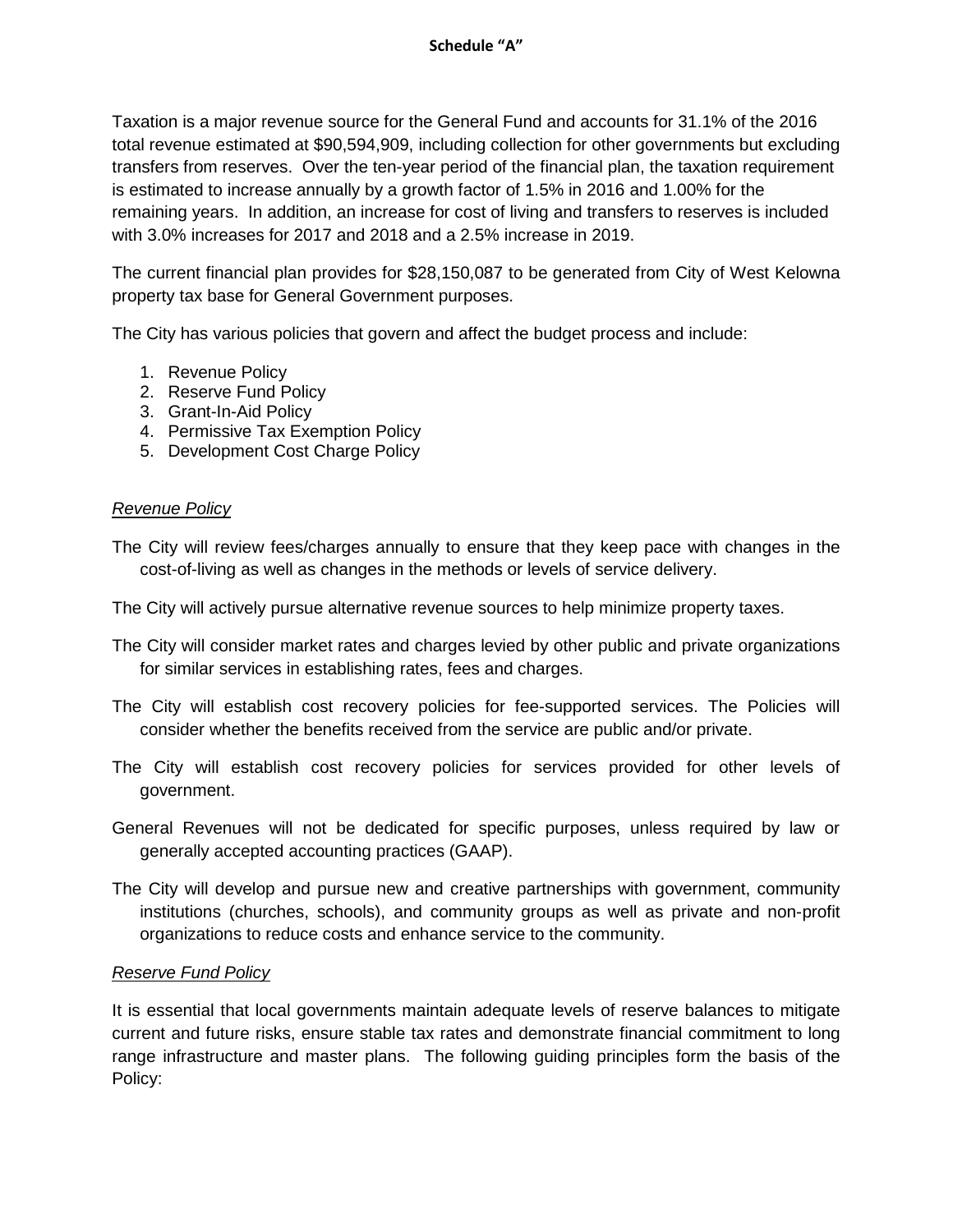Taxation is a major revenue source for the General Fund and accounts for 31.1% of the 2016 total revenue estimated at \$90,594,909, including collection for other governments but excluding transfers from reserves. Over the ten-year period of the financial plan, the taxation requirement is estimated to increase annually by a growth factor of 1.5% in 2016 and 1.00% for the remaining years. In addition, an increase for cost of living and transfers to reserves is included with 3.0% increases for 2017 and 2018 and a 2.5% increase in 2019.

The current financial plan provides for \$28,150,087 to be generated from City of West Kelowna property tax base for General Government purposes.

The City has various policies that govern and affect the budget process and include:

- 1. Revenue Policy
- 2. Reserve Fund Policy
- 3. Grant-In-Aid Policy
- 4. Permissive Tax Exemption Policy
- 5. Development Cost Charge Policy

# *Revenue Policy*

The City will review fees/charges annually to ensure that they keep pace with changes in the cost-of-living as well as changes in the methods or levels of service delivery.

The City will actively pursue alternative revenue sources to help minimize property taxes.

- The City will consider market rates and charges levied by other public and private organizations for similar services in establishing rates, fees and charges.
- The City will establish cost recovery policies for fee-supported services. The Policies will consider whether the benefits received from the service are public and/or private.
- The City will establish cost recovery policies for services provided for other levels of government.
- General Revenues will not be dedicated for specific purposes, unless required by law or generally accepted accounting practices (GAAP).
- The City will develop and pursue new and creative partnerships with government, community institutions (churches, schools), and community groups as well as private and non-profit organizations to reduce costs and enhance service to the community.

# *Reserve Fund Policy*

It is essential that local governments maintain adequate levels of reserve balances to mitigate current and future risks, ensure stable tax rates and demonstrate financial commitment to long range infrastructure and master plans. The following guiding principles form the basis of the Policy: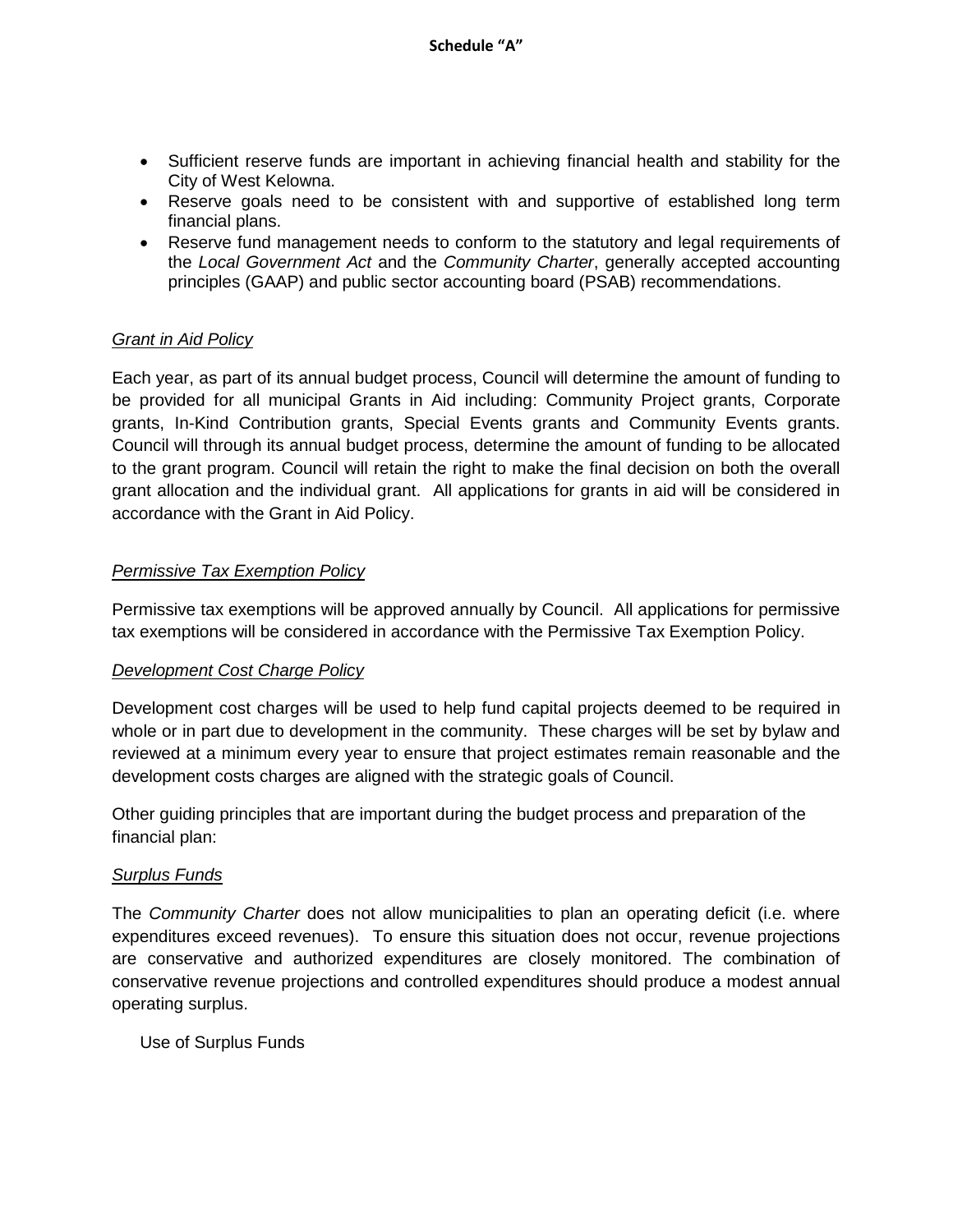- Sufficient reserve funds are important in achieving financial health and stability for the City of West Kelowna.
- Reserve goals need to be consistent with and supportive of established long term financial plans.
- Reserve fund management needs to conform to the statutory and legal requirements of the *Local Government Act* and the *Community Charter*, generally accepted accounting principles (GAAP) and public sector accounting board (PSAB) recommendations.

# *Grant in Aid Policy*

Each year, as part of its annual budget process, Council will determine the amount of funding to be provided for all municipal Grants in Aid including: Community Project grants, Corporate grants, In-Kind Contribution grants, Special Events grants and Community Events grants. Council will through its annual budget process, determine the amount of funding to be allocated to the grant program. Council will retain the right to make the final decision on both the overall grant allocation and the individual grant. All applications for grants in aid will be considered in accordance with the Grant in Aid Policy.

# *Permissive Tax Exemption Policy*

Permissive tax exemptions will be approved annually by Council. All applications for permissive tax exemptions will be considered in accordance with the Permissive Tax Exemption Policy.

# *Development Cost Charge Policy*

Development cost charges will be used to help fund capital projects deemed to be required in whole or in part due to development in the community. These charges will be set by bylaw and reviewed at a minimum every year to ensure that project estimates remain reasonable and the development costs charges are aligned with the strategic goals of Council.

Other guiding principles that are important during the budget process and preparation of the financial plan:

# *Surplus Funds*

The *Community Charter* does not allow municipalities to plan an operating deficit (i.e. where expenditures exceed revenues). To ensure this situation does not occur, revenue projections are conservative and authorized expenditures are closely monitored. The combination of conservative revenue projections and controlled expenditures should produce a modest annual operating surplus.

Use of Surplus Funds